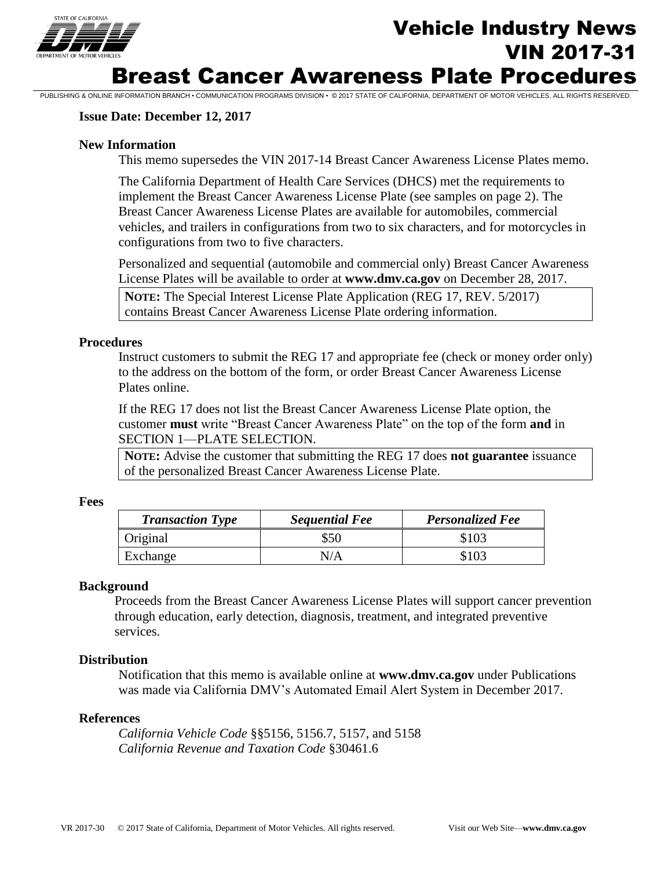

### **Issue Date: December 12, 2017**

#### **New Information**

This memo supersedes the VIN 2017-14 Breast Cancer Awareness License Plates memo.

PUBLISHING & ONLINE INFORMATION BRANCH • COMMUNICATION PROGRAMS DIVISION • © 2017 STATE OF CALIFORNIA, DEPARTMENT OF MOTOR VEHICLES. ALL RIGHTS RESERVED.

The California Department of Health Care Services (DHCS) met the requirements to implement the Breast Cancer Awareness License Plate (see samples on page 2). The Breast Cancer Awareness License Plates are available for automobiles, commercial vehicles, and trailers in configurations from two to six characters, and for motorcycles in configurations from two to five characters.

Personalized and sequential (automobile and commercial only) Breast Cancer Awareness License Plates will be available to order at **www.dmv.ca.gov** on December 28, 2017.

**NOTE:** The Special Interest License Plate Application (REG 17, REV. 5/2017) contains Breast Cancer Awareness License Plate ordering information.

#### **Procedures**

Instruct customers to submit the REG 17 and appropriate fee (check or money order only) to the address on the bottom of the form, or order Breast Cancer Awareness License Plates online.

If the REG 17 does not list the Breast Cancer Awareness License Plate option, the customer **must** write "Breast Cancer Awareness Plate" on the top of the form **and** in SECTION 1—PLATE SELECTION.

**NOTE:** Advise the customer that submitting the REG 17 does **not guarantee** issuance of the personalized Breast Cancer Awareness License Plate.

#### **Fees**

| <b>Transaction Type</b> | <b>Sequential Fee</b> | <b>Personalized Fee</b> |
|-------------------------|-----------------------|-------------------------|
| Original                | \$50                  | \$103                   |
| Exchange                | N/A                   | \$103                   |

#### **Background**

Proceeds from the Breast Cancer Awareness License Plates will support cancer prevention through education, early detection, diagnosis, treatment, and integrated preventive services.

#### **Distribution**

Notification that this memo is available online at **www.dmv.ca.gov** under Publications was made via California DMV's Automated Email Alert System in December 2017.

#### **References**

*California Vehicle Code* §§5156, 5156.7, 5157, and 5158 *California Revenue and Taxation Code* §30461.6